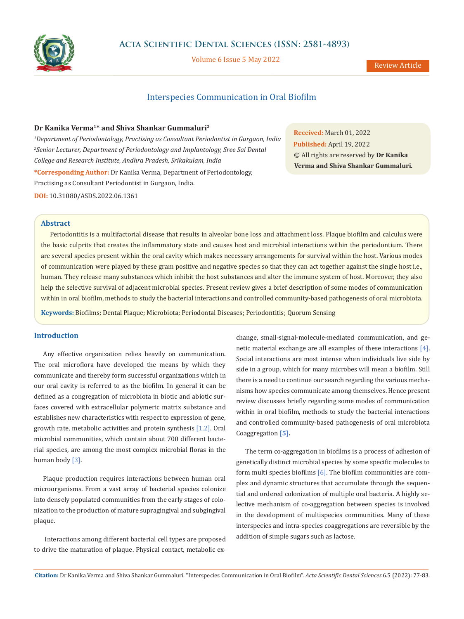

Volume 6 Issue 5 May 2022

# Interspecies Communication in Oral Biofilm

# **Dr Kanika Verma1\* and Shiva Shankar Gummaluri2**

*1 Department of Periodontology, Practising as Consultant Periodontist in Gurgaon, India 2 Senior Lecturer, Department of Periodontology and Implantology, Sree Sai Dental College and Research Institute, Andhra Pradesh, Srikakulam, India* **\*Corresponding Author:** Dr Kanika Verma, Department of Periodontology, Practising as Consultant Periodontist in Gurgaon, India. **DOI:** [10.31080/ASDS.2022.06.1361](https://actascientific.com/ASDS/pdf/ASDS-06-1361.pdf)

**Received:** March 01, 2022 **Published:** April 19, 2022 © All rights are reserved by **Dr Kanika Verma and Shiva Shankar Gummaluri***.*

# **Abstract**

Periodontitis is a multifactorial disease that results in alveolar bone loss and attachment loss. Plaque biofilm and calculus were the basic culprits that creates the inflammatory state and causes host and microbial interactions within the periodontium. There are several species present within the oral cavity which makes necessary arrangements for survival within the host. Various modes of communication were played by these gram positive and negative species so that they can act together against the single host i.e., human. They release many substances which inhibit the host substances and alter the immune system of host. Moreover, they also help the selective survival of adjacent microbial species. Present review gives a brief description of some modes of communication within in oral biofilm, methods to study the bacterial interactions and controlled community-based pathogenesis of oral microbiota.

**Keywords:** Biofilms; Dental Plaque; Microbiota; Periodontal Diseases; Periodontitis; Quorum Sensing

# **Introduction**

Any effective organization relies heavily on communication. The oral microflora have developed the means by which they communicate and thereby form successful organizations which in our oral cavity is referred to as the biofilm. In general it can be defined as a congregation of microbiota in biotic and abiotic surfaces covered with extracellular polymeric matrix substance and establishes new characteristics with respect to expression of gene, growth rate, metabolic activities and protein synthesis [1,2]. Oral microbial communities, which contain about 700 different bacterial species, are among the most complex microbial floras in the human body [3].

Plaque production requires interactions between human oral microorganisms. From a vast array of bacterial species colonize into densely populated communities from the early stages of colonization to the production of mature supragingival and subgingival plaque.

 Interactions among different bacterial cell types are proposed to drive the maturation of plaque. Physical contact, metabolic exchange, small-signal-molecule-mediated communication, and genetic material exchange are all examples of these interactions [4]. Social interactions are most intense when individuals live side by side in a group, which for many microbes will mean a biofilm. Still there is a need to continue our search regarding the various mechanisms how species communicate among themselves. Hence present review discusses briefly regarding some modes of communication within in oral biofilm, methods to study the bacterial interactions and controlled community-based pathogenesis of oral microbiota Coaggregation **[5].**

The term co-aggregation in biofilms is a process of adhesion of genetically distinct microbial species by some specific molecules to form multi species biofilms  $[6]$ . The biofilm communities are complex and dynamic structures that accumulate through the sequential and ordered colonization of multiple oral bacteria. A highly selective mechanism of co-aggregation between species is involved in the development of multispecies communities. Many of these interspecies and intra-species coaggregations are reversible by the addition of simple sugars such as lactose.

**Citation:** Dr Kanika Verma and Shiva Shankar Gummaluri*.* "Interspecies Communication in Oral Biofilm". *Acta Scientific Dental Sciences* 6.5 (2022): 77-83.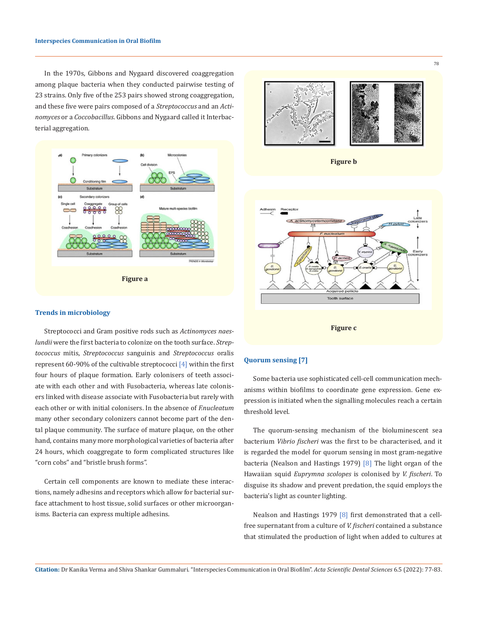In the 1970s, Gibbons and Nygaard discovered coaggregation among plaque bacteria when they conducted pairwise testing of 23 strains. Only five of the 253 pairs showed strong coaggregation, and these five were pairs composed of a *Streptococcus* and an *Actinomyces* or a *Coccobacillus*. Gibbons and Nygaard called it Interbacterial aggregation.





#### **Trends in microbiology**

Streptococci and Gram positive rods such as *Actinomyces naeslundii* were the first bacteria to colonize on the tooth surface. *Streptococcus* mitis, *Streptococcus* sanguinis and *Streptococcus* oralis represent 60-90% of the cultivable streptococci [4] within the first four hours of plaque formation. Early colonisers of teeth associate with each other and with Fusobacteria, whereas late colonisers linked with disease associate with Fusobacteria but rarely with each other or with initial colonisers. In the absence of *F.nucleatum*  many other secondary colonizers cannot become part of the dental plaque community. The surface of mature plaque, on the other hand, contains many more morphological varieties of bacteria after 24 hours, which coaggregate to form complicated structures like "corn cobs" and "bristle brush forms".

Certain cell components are known to mediate these interactions, namely adhesins and receptors which allow for bacterial surface attachment to host tissue, solid surfaces or other microorganisms. Bacteria can express multiple adhesins.

# **Quorum sensing [7]**

Some bacteria use sophisticated cell-cell communication mechanisms within biofilms to coordinate gene expression. Gene expression is initiated when the signalling molecules reach a certain threshold level.

The quorum-sensing mechanism of the bioluminescent sea bacterium *Vibrio fischeri* was the first to be characterised, and it is regarded the model for quorum sensing in most gram-negative bacteria (Nealson and Hastings 1979) [8] The light organ of the Hawaiian squid *Euprymna scolopes* is colonised by *V. fischeri*. To disguise its shadow and prevent predation, the squid employs the bacteria's light as counter lighting.

Nealson and Hastings 1979 [8] first demonstrated that a cellfree supernatant from a culture of *V. fischeri* contained a substance that stimulated the production of light when added to cultures at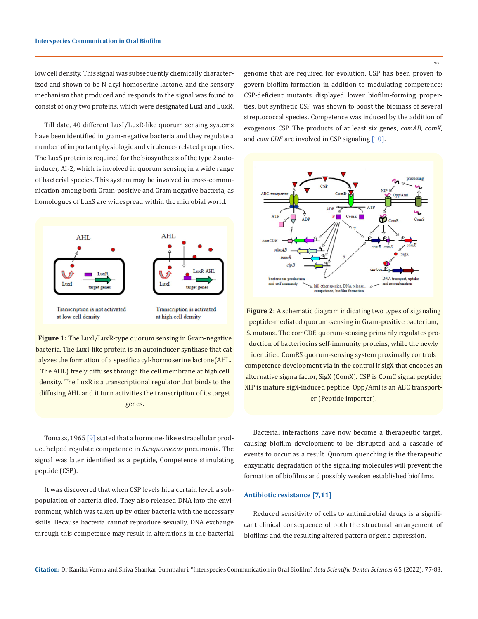low cell density. This signal was subsequently chemically characterized and shown to be N-acyl homoserine lactone, and the sensory mechanism that produced and responds to the signal was found to consist of only two proteins, which were designated LuxI and LuxR.

Till date, 40 different LuxI⁄LuxR-like quorum sensing systems have been identified in gram-negative bacteria and they regulate a number of important physiologic and virulence- related properties. The LuxS protein is required for the biosynthesis of the type 2 autoinducer, AI-2, which is involved in quorum sensing in a wide range of bacterial species. This system may be involved in cross-communication among both Gram-positive and Gram negative bacteria, as homologues of LuxS are widespread within the microbial world.



**Figure 1:** The LuxI/LuxR-type quorum sensing in Gram-negative bacteria. The LuxI-like protein is an autoinducer synthase that catalyzes the formation of a specific acyl-hormoserine lactone(AHL. The AHL) freely diffuses through the cell membrane at high cell density. The LuxR is a transcriptional regulator that binds to the diffusing AHL and it turn activities the transcription of its target genes.

Tomasz, 1965 [9] stated that a hormone-like extracellular product helped regulate competence in *Streptococcus* pneumonia. The signal was later identified as a peptide, Competence stimulating peptide (CSP).

It was discovered that when CSP levels hit a certain level, a subpopulation of bacteria died. They also released DNA into the environment, which was taken up by other bacteria with the necessary skills. Because bacteria cannot reproduce sexually, DNA exchange through this competence may result in alterations in the bacterial genome that are required for evolution. CSP has been proven to govern biofilm formation in addition to modulating competence: CSP-deficient mutants displayed lower biofilm-forming properties, but synthetic CSP was shown to boost the biomass of several streptococcal species. Competence was induced by the addition of exogenous CSP. The products of at least six genes, *comAB, comX*, and *com CDE* are involved in CSP signaling [10].



**Figure 2:** A schematic diagram indicating two types of siganaling peptide-mediated quorum-sensing in Gram-positive bacterium, S. mutans. The comCDE quorum-sensing primarily regulates production of bacteriocins self-immunity proteins, while the newly identified ComRS quorum-sensing system proximally controls competence development via in the control if sigX that encodes an alternative sigma factor, SigX (ComX). CSP is ComC signal peptide; XIP is mature sigX-induced peptide. Opp/Aml is an ABC transporter (Peptide importer).

Bacterial interactions have now become a therapeutic target, causing biofilm development to be disrupted and a cascade of events to occur as a result. Quorum quenching is the therapeutic enzymatic degradation of the signaling molecules will prevent the formation of biofilms and possibly weaken established biofilms.

## **Antibiotic resistance [7,11]**

Reduced sensitivity of cells to antimicrobial drugs is a significant clinical consequence of both the structural arrangement of biofilms and the resulting altered pattern of gene expression.

**Citation:** Dr Kanika Verma and Shiva Shankar Gummaluri*.* "Interspecies Communication in Oral Biofilm". *Acta Scientific Dental Sciences* 6.5 (2022): 77-83.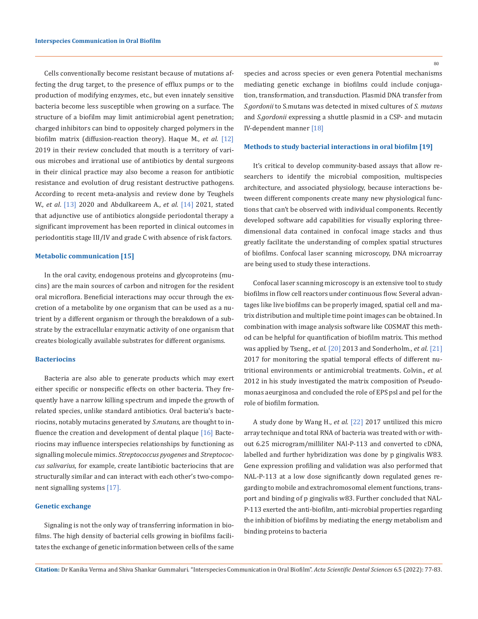Cells conventionally become resistant because of mutations affecting the drug target, to the presence of efflux pumps or to the production of modifying enzymes, etc., but even innately sensitive bacteria become less susceptible when growing on a surface. The structure of a biofilm may limit antimicrobial agent penetration; charged inhibitors can bind to oppositely charged polymers in the biofilm matrix (diffusion-reaction theory). Haque M., *et al.* [12] 2019 in their review concluded that mouth is a territory of various microbes and irrational use of antibiotics by dental surgeons in their clinical practice may also become a reason for antibiotic resistance and evolution of drug resistant destructive pathogens. According to recent meta-analysis and review done by Teughels W., *et al*. [13] 2020 and Abdulkareem A., *et al*. [14] 2021, stated that adjunctive use of antibiotics alongside periodontal therapy a significant improvement has been reported in clinical outcomes in periodontitis stage III/IV and grade C with absence of risk factors.

#### **Metabolic communication [15]**

In the oral cavity, endogenous proteins and glycoproteins (mucins) are the main sources of carbon and nitrogen for the resident oral microflora. Beneficial interactions may occur through the excretion of a metabolite by one organism that can be used as a nutrient by a different organism or through the breakdown of a substrate by the extracellular enzymatic activity of one organism that creates biologically available substrates for different organisms.

#### **Bacteriocins**

Bacteria are also able to generate products which may exert either specific or nonspecific effects on other bacteria. They frequently have a narrow killing spectrum and impede the growth of related species, unlike standard antibiotics. Oral bacteria's bacteriocins, notably mutacins generated by *S.mutans,* are thought to influence the creation and development of dental plaque  $[16]$  Bacteriocins may influence interspecies relationships by functioning as signalling molecule mimics. *Streptococcus pyogenes* and *Streptococcus salivarius,* for example, create lantibiotic bacteriocins that are structurally similar and can interact with each other's two-component signalling systems [17].

## **Genetic exchange**

Signaling is not the only way of transferring information in biofilms. The high density of bacterial cells growing in biofilms facilitates the exchange of genetic information between cells of the same 80

species and across species or even genera Potential mechanisms mediating genetic exchange in biofilms could include conjugation, transformation, and transduction. Plasmid DNA transfer from *S.gordonii* to S.mutans was detected in mixed cultures of *S. mutans*  and *S.gordonii* expressing a shuttle plasmid in a CSP- and mutacin IV-dependent manner [18]

## **Methods to study bacterial interactions in oral biofilm [19]**

It's critical to develop community-based assays that allow researchers to identify the microbial composition, multispecies architecture, and associated physiology, because interactions between different components create many new physiological functions that can't be observed with individual components. Recently developed software add capabilities for visually exploring threedimensional data contained in confocal image stacks and thus greatly facilitate the understanding of complex spatial structures of biofilms. Confocal laser scanning microscopy, DNA microarray are being used to study these interactions.

Confocal laser scanning microscopy is an extensive tool to study biofilms in flow cell reactors under continuous flow. Several advantages like live biofilms can be properly imaged, spatial cell and matrix distribution and multiple time point images can be obtained. In combination with image analysis software like COSMAT this method can be helpful for quantification of biofilm matrix. This method was applied by Tseng., *et al.* [20] 2013 and Sonderholm., *et al*. [21] 2017 for monitoring the spatial temporal effects of different nutritional environments or antimicrobial treatments. Colvin., *et al.* 2012 in his study investigated the matrix composition of Pseudomonas aeurginosa and concluded the role of EPS psl and pel for the role of biofilm formation.

A study done by Wang H., *et al*. [22] 2017 untilized this micro array technique and total RNA of bacteria was treated with or without 6.25 microgram/milliliter NAl-P-113 and converted to cDNA, labelled and further hybridization was done by p gingivalis W83. Gene expression profiling and validation was also performed that NAL-P-113 at a low dose significantly down regulated genes regarding to mobile and extrachromosomal element functions, transport and binding of p gingivalis w83. Further concluded that NAL-P-113 exerted the anti-biofilm, anti-microbial properties regarding the inhibition of biofilms by mediating the energy metabolism and binding proteins to bacteria

**Citation:** Dr Kanika Verma and Shiva Shankar Gummaluri*.* "Interspecies Communication in Oral Biofilm". *Acta Scientific Dental Sciences* 6.5 (2022): 77-83.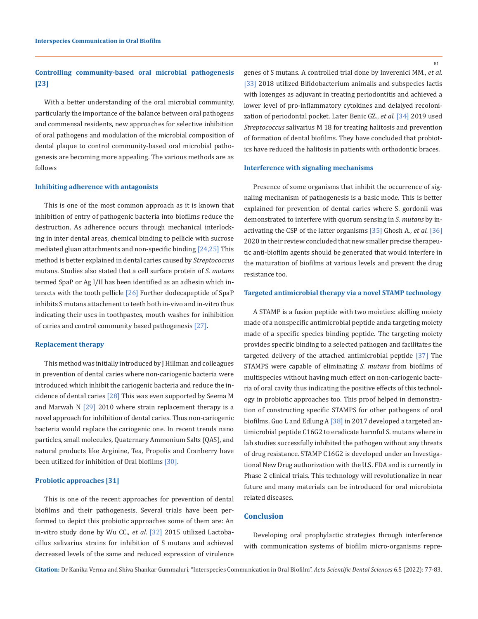# **Controlling community-based oral microbial pathogenesis [23]**

With a better understanding of the oral microbial community, particularly the importance of the balance between oral pathogens and commensal residents, new approaches for selective inhibition of oral pathogens and modulation of the microbial composition of dental plaque to control community-based oral microbial pathogenesis are becoming more appealing. The various methods are as follows

#### **Inhibiting adherence with antagonists**

This is one of the most common approach as it is known that inhibition of entry of pathogenic bacteria into biofilms reduce the destruction. As adherence occurs through mechanical interlocking in inter dental areas, chemical binding to pellicle with sucrose mediated gluan attachments and non-specific binding [24,25] This method is better explained in dental caries caused by *Streptococcus* mutans. Studies also stated that a cell surface protein of *S. mutans*  termed SpaP or Ag I/II has been identified as an adhesin which interacts with the tooth pellicle [26] Further dodecapeptide of SpaP inhibits S mutans attachment to teeth both in-vivo and in-vitro thus indicating their uses in toothpastes, mouth washes for inihibition of caries and control community based pathogenesis [27].

#### **Replacement therapy**

This method was initially introduced by J Hillman and colleagues in prevention of dental caries where non-cariogenic bacteria were introduced which inhibit the cariogenic bacteria and reduce the incidence of dental caries [28] This was even supported by Seema M and Marwah N  $[29]$  2010 where strain replacement therapy is a novel approach for inhibition of dental caries. Thus non-cariogenic bacteria would replace the cariogenic one. In recent trends nano particles, small molecules, Quaternary Ammonium Salts (QAS), and natural products like Arginine, Tea, Propolis and Cranberry have been utilized for inhibition of Oral biofilms [30].

## **Probiotic approaches [31]**

This is one of the recent approaches for prevention of dental biofilms and their pathogenesis. Several trials have been performed to depict this probiotic approaches some of them are: An in-vitro study done by Wu CC., *et al*. [32] 2015 utilized Lactobacillus salivarius strains for inhibition of S mutans and achieved decreased levels of the same and reduced expression of virulence genes of S mutans. A controlled trial done by Inverenici MM., *et al*. [33] 2018 utilized Bifidobacterium animalis and subspecies lactis with lozenges as adjuvant in treating periodontitis and achieved a lower level of pro-inflammatory cytokines and delalyed recolonization of periodontal pocket. Later Benic GZ., *et al.* [34] 2019 used *Streptococcus* salivarius M 18 for treating halitosis and prevention of formation of dental biofilms. They have concluded that probiotics have reduced the halitosis in patients with orthodontic braces.

#### **Interference with signaling mechanisms**

Presence of some organisms that inhibit the occurrence of signaling mechanism of pathogenesis is a basic mode. This is better explained for prevention of dental caries where S. gordonii was demonstrated to interfere with quorum sensing in *S. mutans* by inactivating the CSP of the latter organisms [35] Ghosh A., *et al.* [36] 2020 in their review concluded that new smaller precise therapeutic anti-biofilm agents should be generated that would interfere in the maturation of biofilms at various levels and prevent the drug resistance too.

## **Targeted antimicrobial therapy via a novel STAMP technology**

A STAMP is a fusion peptide with two moieties: akilling moiety made of a nonspecific antimicrobial peptide anda targeting moiety made of a specific species binding peptide. The targeting moiety provides specific binding to a selected pathogen and facilitates the targeted delivery of the attached antimicrobial peptide [37] The STAMPS were capable of eliminating *S. mutans* from biofilms of multispecies without having much effect on non-cariogenic bacteria of oral cavity thus indicating the positive effects of this technology in probiotic approaches too. This proof helped in demonstration of constructing specific STAMPS for other pathogens of oral biofilms. Guo L and Edlung A [38] in 2017 developed a targeted antimicrobial peptide C16G2 to eradicate harmful S. mutans where in lab studies successfully inhibited the pathogen without any threats of drug resistance. STAMP C16G2 is developed under an Investigational New Drug authorization with the U.S. FDA and is currently in Phase 2 clinical trials. This technology will revolutionalize in near future and many materials can be introduced for oral microbiota related diseases.

# **Conclusion**

Developing oral prophylactic strategies through interference with communication systems of biofilm micro-organisms repre-

**Citation:** Dr Kanika Verma and Shiva Shankar Gummaluri*.* "Interspecies Communication in Oral Biofilm". *Acta Scientific Dental Sciences* 6.5 (2022): 77-83.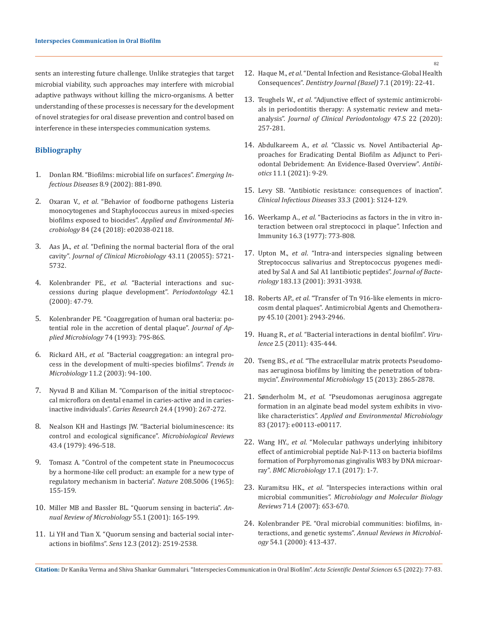sents an interesting future challenge. Unlike strategies that target microbial viability, such approaches may interfere with microbial adaptive pathways without killing the micro-organisms. A better understanding of these processes is necessary for the development of novel strategies for oral disease prevention and control based on interference in these interspecies communication systems.

# **Bibliography**

- 1. [Donlan RM. "Biofilms: microbial life on surfaces".](https://www.ncbi.nlm.nih.gov/pmc/articles/PMC2732559/) *Emerging Infectious Diseases* [8.9 \(2002\): 881-890.](https://www.ncbi.nlm.nih.gov/pmc/articles/PMC2732559/)
- 2. Oxaran V., *et al*[. "Behavior of foodborne pathogens Listeria](https://journals.asm.org/doi/10.1128/AEM.02038-18) [monocytogenes and Staphylococcus aureus in mixed-species](https://journals.asm.org/doi/10.1128/AEM.02038-18) biofilms exposed to biocides". *[Applied and Environmental Mi](https://journals.asm.org/doi/10.1128/AEM.02038-18)crobiology* [84 \(24 \(2018\): e02038-02118.](https://journals.asm.org/doi/10.1128/AEM.02038-18)
- 3. Aas JA., *et al*[. "Defining the normal bacterial flora of the oral](https://pubmed.ncbi.nlm.nih.gov/16272510/) cavity". *[Journal of Clinical Microbiology](https://pubmed.ncbi.nlm.nih.gov/16272510/)* 43.11 (20055): 5721- [5732.](https://pubmed.ncbi.nlm.nih.gov/16272510/)
- 4. Kolenbrander PE., *et al*[. "Bacterial interactions and suc](https://pubmed.ncbi.nlm.nih.gov/16930306/)[cessions during plaque development".](https://pubmed.ncbi.nlm.nih.gov/16930306/) *Periodontology* 42.1 [\(2000\): 47-79.](https://pubmed.ncbi.nlm.nih.gov/16930306/)
- 5. [Kolenbrander PE. "Coaggregation of human oral bacteria: po](https://pubmed.ncbi.nlm.nih.gov/8349536/)[tential role in the accretion of dental plaque".](https://pubmed.ncbi.nlm.nih.gov/8349536/) *Journal of Ap[plied Microbiology](https://pubmed.ncbi.nlm.nih.gov/8349536/)* 74 (1993): 79S-86S.
- 6. Rickard AH., *et al*[. "Bacterial coaggregation: an integral pro](https://pubmed.ncbi.nlm.nih.gov/12598132/)[cess in the development of multi-species biofilms".](https://pubmed.ncbi.nlm.nih.gov/12598132/) *Trends in Microbiology* [11.2 \(2003\): 94-100.](https://pubmed.ncbi.nlm.nih.gov/12598132/)
- 7. [Nyvad B and Kilian M. "Comparison of the initial streptococ](https://pubmed.ncbi.nlm.nih.gov/2276164/)[cal microflora on dental enamel in caries-active and in caries](https://pubmed.ncbi.nlm.nih.gov/2276164/)inactive individuals". *Caries Research* [24.4 \(1990\): 267-272.](https://pubmed.ncbi.nlm.nih.gov/2276164/)
- 8. [Nealson KH and Hastings JW. "Bacterial bioluminescence: its](https://pubmed.ncbi.nlm.nih.gov/396467/) [control and ecological significance".](https://pubmed.ncbi.nlm.nih.gov/396467/) *Microbiological Reviews*  [43.4 \(1979\): 496-518.](https://pubmed.ncbi.nlm.nih.gov/396467/)
- 9. [Tomasz A. "Control of the competent state in Pneumococcus](https://pubmed.ncbi.nlm.nih.gov/5884251/) [by a hormone-like cell product: an example for a new type of](https://pubmed.ncbi.nlm.nih.gov/5884251/) [regulatory mechanism in bacteria".](https://pubmed.ncbi.nlm.nih.gov/5884251/) *Nature* 208.5006 (1965): [155-159.](https://pubmed.ncbi.nlm.nih.gov/5884251/)
- 10. [Miller MB and Bassler BL. "Quorum sensing in bacteria".](https://pubmed.ncbi.nlm.nih.gov/11544353/) *An[nual Review of Microbiology](https://pubmed.ncbi.nlm.nih.gov/11544353/)* 55.1 (2001): 165-199.
- 11. [Li YH and Tian X. "Quorum sensing and bacterial social inter](https://pubmed.ncbi.nlm.nih.gov/22736963/)actions in biofilms". *Sens* [12.3 \(2012\): 2519-2538.](https://pubmed.ncbi.nlm.nih.gov/22736963/)
- 12. Haque M., *et al*[. "Dental Infection and Resistance-Global Health](https://pubmed.ncbi.nlm.nih.gov/30823670/)  Consequences". *[Dentistry Journal \(Basel\)](https://pubmed.ncbi.nlm.nih.gov/30823670/)* 7.1 (2019): 22-41.
- 13. Teughels W., *et al*[. "Adjunctive effect of systemic antimicrobi](https://pubmed.ncbi.nlm.nih.gov/31994207/)[als in periodontitis therapy: A systematic review and meta](https://pubmed.ncbi.nlm.nih.gov/31994207/)analysis". *[Journal of Clinical Periodontology](https://pubmed.ncbi.nlm.nih.gov/31994207/)* 47.S 22 (2020): [257-281.](https://pubmed.ncbi.nlm.nih.gov/31994207/)
- 14. Abdulkareem A., *et al*[. "Classic vs. Novel Antibacterial Ap](https://www.ncbi.nlm.nih.gov/pmc/articles/PMC8773342/)[proaches for Eradicating Dental Biofilm as Adjunct to Peri](https://www.ncbi.nlm.nih.gov/pmc/articles/PMC8773342/)[odontal Debridement: An Evidence-Based Overview".](https://www.ncbi.nlm.nih.gov/pmc/articles/PMC8773342/) *Antibiotics* [11.1 \(2021\): 9-29.](https://www.ncbi.nlm.nih.gov/pmc/articles/PMC8773342/)
- 15. [Levy SB. "Antibiotic resistance: consequences of inaction".](https://pubmed.ncbi.nlm.nih.gov/11524708/)  *[Clinical Infectious Diseases](https://pubmed.ncbi.nlm.nih.gov/11524708/)* 33.3 (2001): S124-129.
- 16. Weerkamp A., *et al*[. "Bacteriocins as factors in the in vitro in](https://pubmed.ncbi.nlm.nih.gov/892898/)[teraction between oral streptococci in plaque". Infection and](https://pubmed.ncbi.nlm.nih.gov/892898/) [Immunity 16.3 \(1977\): 773-808.](https://pubmed.ncbi.nlm.nih.gov/892898/)
- 17. Upton M., *et al*[. "Intra-and interspecies signaling between](https://pubmed.ncbi.nlm.nih.gov/11395456/)  [Streptococcus salivarius and Streptococcus pyogenes medi](https://pubmed.ncbi.nlm.nih.gov/11395456/)[ated by Sal A and Sal A1 lantibiotic peptides".](https://pubmed.ncbi.nlm.nih.gov/11395456/) *Journal of Bacteriology* [183.13 \(2001\): 3931-3938.](https://pubmed.ncbi.nlm.nih.gov/11395456/)
- 18. Roberts AP., *et al*[. "Transfer of Tn 916-like elements in micro](https://pubmed.ncbi.nlm.nih.gov/11557498/)[cosm dental plaques". Antimicrobial Agents and Chemothera](https://pubmed.ncbi.nlm.nih.gov/11557498/)[py 45.10 \(2001\): 2943-2946.](https://pubmed.ncbi.nlm.nih.gov/11557498/)
- 19. Huang R., *et al*[. "Bacterial interactions in dental biofilm".](https://www.ncbi.nlm.nih.gov/pmc/articles/PMC3322631/) *Virulence* [2.5 \(2011\): 435-444.](https://www.ncbi.nlm.nih.gov/pmc/articles/PMC3322631/)
- 20. Tseng BS., *et al*[. "The extracellular matrix protects Pseudomo](https://pubmed.ncbi.nlm.nih.gov/23751003/)[nas aeruginosa biofilms by limiting the penetration of tobra](https://pubmed.ncbi.nlm.nih.gov/23751003/)mycin". *[Environmental Microbiology](https://pubmed.ncbi.nlm.nih.gov/23751003/)* 15 (2013): 2865-2878.
- 21. Sønderholm M., *et al*[. "Pseudomonas aeruginosa aggregate](https://pubmed.ncbi.nlm.nih.gov/28258141/) [formation in an alginate bead model system exhibits in vivo](https://pubmed.ncbi.nlm.nih.gov/28258141/)like characteristics". *[Applied and Environmental Microbiology](https://pubmed.ncbi.nlm.nih.gov/28258141/)*  [83 \(2017\): e00113-e00117.](https://pubmed.ncbi.nlm.nih.gov/28258141/)
- 22. Wang HY., *et al*[. "Molecular pathways underlying inhibitory](https://www.ncbi.nlm.nih.gov/pmc/articles/PMC5316201/) [effect of antimicrobial peptide Nal-P-113 on bacteria biofilms](https://www.ncbi.nlm.nih.gov/pmc/articles/PMC5316201/) [formation of Porphyromonas gingivalis W83 by DNA microar](https://www.ncbi.nlm.nih.gov/pmc/articles/PMC5316201/)ray". *[BMC Microbiology](https://www.ncbi.nlm.nih.gov/pmc/articles/PMC5316201/)* 17.1 (2017): 1-7.
- 23. Kuramitsu HK., *et al*[. "Interspecies interactions within oral](https://pubmed.ncbi.nlm.nih.gov/18063722/)  microbial communities". *[Microbiology and Molecular Biology](https://pubmed.ncbi.nlm.nih.gov/18063722/)  Reviews* [71.4 \(2007\): 653-670.](https://pubmed.ncbi.nlm.nih.gov/18063722/)
- 24. [Kolenbrander PE. "Oral microbial communities: biofilms, in](https://pubmed.ncbi.nlm.nih.gov/11018133/)teractions, and genetic systems". *[Annual Reviews in Microbiol](https://pubmed.ncbi.nlm.nih.gov/11018133/)ogy* [54.1 \(2000\): 413-437.](https://pubmed.ncbi.nlm.nih.gov/11018133/)

**Citation:** Dr Kanika Verma and Shiva Shankar Gummaluri*.* "Interspecies Communication in Oral Biofilm". *Acta Scientific Dental Sciences* 6.5 (2022): 77-83.